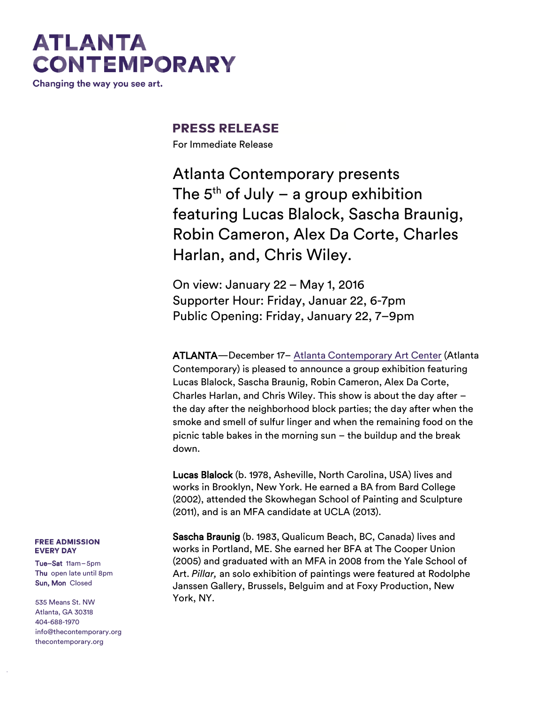# **ATLANTA CONTEMPORARY**

Changing the way you see art.

## **PRESS RELEASE**

For Immediate Release

Atlanta Contemporary presents The  $5<sup>th</sup>$  of July – a group exhibition featuring Lucas Blalock, Sascha Braunig, Robin Cameron, Alex Da Corte, Charles Harlan, and, Chris Wiley.

On view: January 22 – May 1, 2016 Supporter Hour: Friday, Januar 22, 6-7pm Public Opening: Friday, January 22, 7–9pm

ATLANTA—December 17– [Atlanta Contemporary Art Center](http://atlantacontemporary.org/) (Atlanta Contemporary) is pleased to announce a group exhibition featuring Lucas Blalock, Sascha Braunig, Robin Cameron, Alex Da Corte, Charles Harlan, and Chris Wiley. This show is about the day after – the day after the neighborhood block parties; the day after when the smoke and smell of sulfur linger and when the remaining food on the picnic table bakes in the morning sun – the buildup and the break down.

Lucas Blalock (b. 1978, Asheville, North Carolina, USA) lives and works in Brooklyn, New York. He earned a BA from Bard College (2002), attended the Skowhegan School of Painting and Sculpture (2011), and is an MFA candidate at UCLA (2013).

Sascha Braunig (b. 1983, Qualicum Beach, BC, Canada) lives and works in Portland, ME. She earned her BFA at The Cooper Union (2005) and graduated with an MFA in 2008 from the Yale School of Art. *Pillar,* an solo exhibition of paintings were featured at Rodolphe Janssen Gallery, Brussels, Belguim and at Foxy Production, New York, NY.

#### **FREE ADMISSION EVERY DAY**

Tue–Sat 11am–5pm Thu open late until 8pm Sun, Mon Closed

535 Means St. NW Atlanta, GA 30318 404-688-1970 [info@thecontemporary.org](mailto:info@thecontemporary.org) thecontemporary.org

t hecont emporary.org